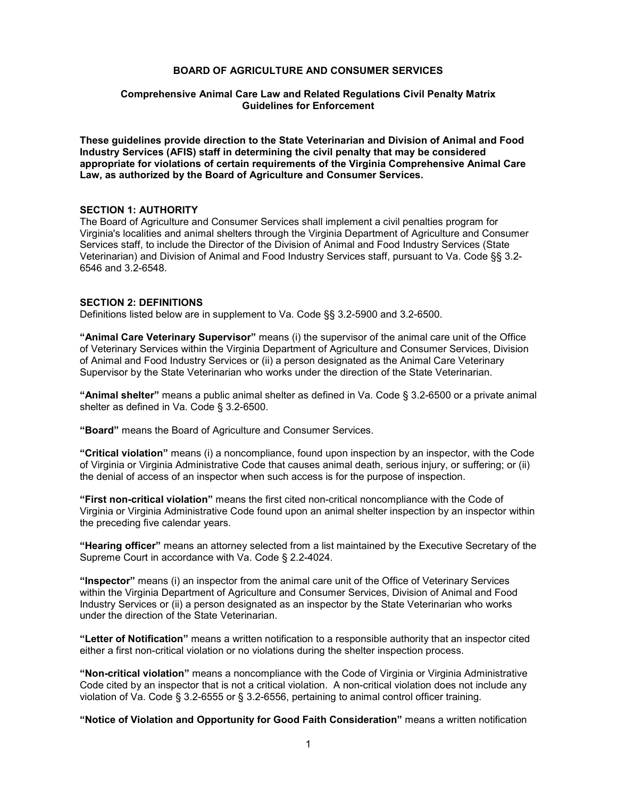#### **BOARD OF AGRICULTURE AND CONSUMER SERVICES**

#### **Comprehensive Animal Care Law and Related Regulations Civil Penalty Matrix Guidelines for Enforcement**

**These guidelines provide direction to the State Veterinarian and Division of Animal and Food Industry Services (AFIS) staff in determining the civil penalty that may be considered appropriate for violations of certain requirements of the Virginia Comprehensive Animal Care Law, as authorized by the Board of Agriculture and Consumer Services.** 

#### **SECTION 1: AUTHORITY**

The Board of Agriculture and Consumer Services shall implement a civil penalties program for Virginia's localities and animal shelters through the Virginia Department of Agriculture and Consumer Services staff, to include the Director of the Division of Animal and Food Industry Services (State Veterinarian) and Division of Animal and Food Industry Services staff, pursuant to Va. Code §§ 3.2- 6546 and 3.2-6548.

## **SECTION 2: DEFINITIONS**

Definitions listed below are in supplement to Va. Code §§ 3.2-5900 and 3.2-6500.

**"Animal Care Veterinary Supervisor"** means (i) the supervisor of the animal care unit of the Office of Veterinary Services within the Virginia Department of Agriculture and Consumer Services, Division of Animal and Food Industry Services or (ii) a person designated as the Animal Care Veterinary Supervisor by the State Veterinarian who works under the direction of the State Veterinarian.

**"Animal shelter"** means a public animal shelter as defined in Va. Code § 3.2-6500 or a private animal shelter as defined in Va. Code § 3.2-6500.

**"Board"** means the Board of Agriculture and Consumer Services.

**"Critical violation"** means (i) a noncompliance, found upon inspection by an inspector, with the Code of Virginia or Virginia Administrative Code that causes animal death, serious injury, or suffering; or (ii) the denial of access of an inspector when such access is for the purpose of inspection.

**"First non-critical violation"** means the first cited non-critical noncompliance with the Code of Virginia or Virginia Administrative Code found upon an animal shelter inspection by an inspector within the preceding five calendar years.

**"Hearing officer"** means an attorney selected from a list maintained by the Executive Secretary of the Supreme Court in accordance with Va. Code § 2.2-4024.

**"Inspector"** means (i) an inspector from the animal care unit of the Office of Veterinary Services within the Virginia Department of Agriculture and Consumer Services, Division of Animal and Food Industry Services or (ii) a person designated as an inspector by the State Veterinarian who works under the direction of the State Veterinarian.

**"Letter of Notification"** means a written notification to a responsible authority that an inspector cited either a first non-critical violation or no violations during the shelter inspection process.

**"Non-critical violation"** means a noncompliance with the Code of Virginia or Virginia Administrative Code cited by an inspector that is not a critical violation. A non-critical violation does not include any violation of Va. Code § 3.2-6555 or § 3.2-6556, pertaining to animal control officer training.

**"Notice of Violation and Opportunity for Good Faith Consideration"** means a written notification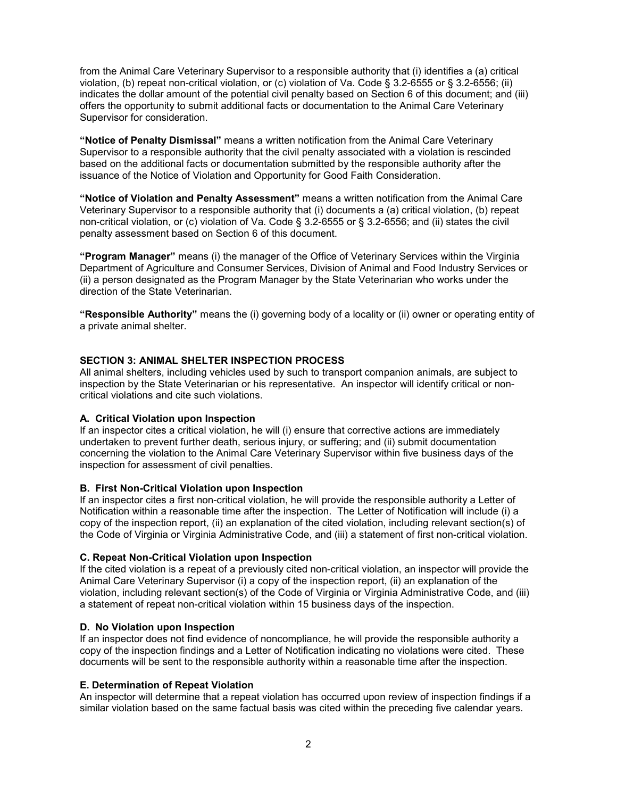from the Animal Care Veterinary Supervisor to a responsible authority that (i) identifies a (a) critical violation, (b) repeat non-critical violation, or (c) violation of Va. Code § 3.2-6555 or § 3.2-6556; (ii) indicates the dollar amount of the potential civil penalty based on Section 6 of this document; and (iii) offers the opportunity to submit additional facts or documentation to the Animal Care Veterinary Supervisor for consideration.

**"Notice of Penalty Dismissal"** means a written notification from the Animal Care Veterinary Supervisor to a responsible authority that the civil penalty associated with a violation is rescinded based on the additional facts or documentation submitted by the responsible authority after the issuance of the Notice of Violation and Opportunity for Good Faith Consideration.

**"Notice of Violation and Penalty Assessment"** means a written notification from the Animal Care Veterinary Supervisor to a responsible authority that (i) documents a (a) critical violation, (b) repeat non-critical violation, or (c) violation of Va. Code § 3.2-6555 or § 3.2-6556; and (ii) states the civil penalty assessment based on Section 6 of this document.

**"Program Manager"** means (i) the manager of the Office of Veterinary Services within the Virginia Department of Agriculture and Consumer Services, Division of Animal and Food Industry Services or (ii) a person designated as the Program Manager by the State Veterinarian who works under the direction of the State Veterinarian.

**"Responsible Authority"** means the (i) governing body of a locality or (ii) owner or operating entity of a private animal shelter.

## **SECTION 3: ANIMAL SHELTER INSPECTION PROCESS**

All animal shelters, including vehicles used by such to transport companion animals, are subject to inspection by the State Veterinarian or his representative. An inspector will identify critical or noncritical violations and cite such violations.

## **A. Critical Violation upon Inspection**

If an inspector cites a critical violation, he will (i) ensure that corrective actions are immediately undertaken to prevent further death, serious injury, or suffering; and (ii) submit documentation concerning the violation to the Animal Care Veterinary Supervisor within five business days of the inspection for assessment of civil penalties.

## **B. First Non-Critical Violation upon Inspection**

If an inspector cites a first non-critical violation, he will provide the responsible authority a Letter of Notification within a reasonable time after the inspection. The Letter of Notification will include (i) a copy of the inspection report, (ii) an explanation of the cited violation, including relevant section(s) of the Code of Virginia or Virginia Administrative Code, and (iii) a statement of first non-critical violation.

## **C. Repeat Non-Critical Violation upon Inspection**

If the cited violation is a repeat of a previously cited non-critical violation, an inspector will provide the Animal Care Veterinary Supervisor (i) a copy of the inspection report, (ii) an explanation of the violation, including relevant section(s) of the Code of Virginia or Virginia Administrative Code, and (iii) a statement of repeat non-critical violation within 15 business days of the inspection.

#### **D. No Violation upon Inspection**

If an inspector does not find evidence of noncompliance, he will provide the responsible authority a copy of the inspection findings and a Letter of Notification indicating no violations were cited. These documents will be sent to the responsible authority within a reasonable time after the inspection.

## **E. Determination of Repeat Violation**

An inspector will determine that a repeat violation has occurred upon review of inspection findings if a similar violation based on the same factual basis was cited within the preceding five calendar years.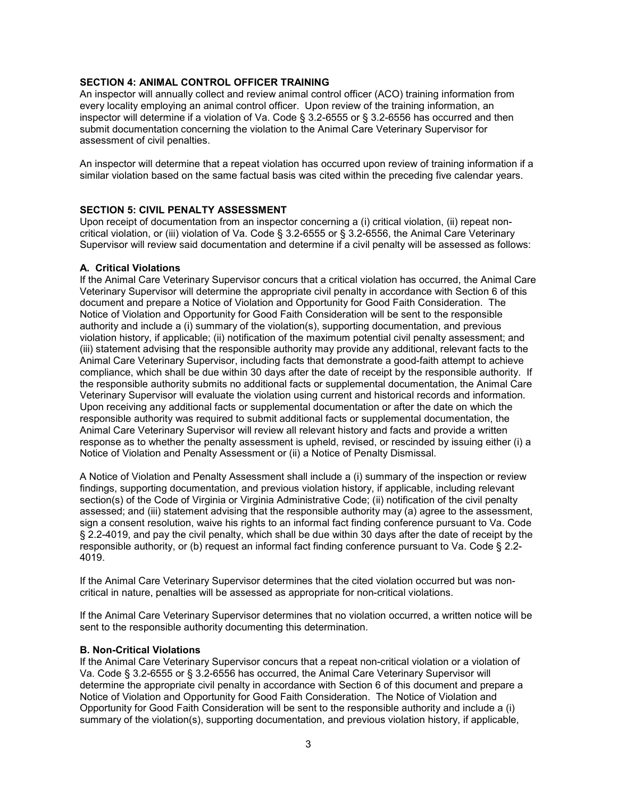# **SECTION 4: ANIMAL CONTROL OFFICER TRAINING**

An inspector will annually collect and review animal control officer (ACO) training information from every locality employing an animal control officer. Upon review of the training information, an inspector will determine if a violation of Va. Code § 3.2-6555 or § 3.2-6556 has occurred and then submit documentation concerning the violation to the Animal Care Veterinary Supervisor for assessment of civil penalties.

An inspector will determine that a repeat violation has occurred upon review of training information if a similar violation based on the same factual basis was cited within the preceding five calendar years.

# **SECTION 5: CIVIL PENALTY ASSESSMENT**

Upon receipt of documentation from an inspector concerning a (i) critical violation, (ii) repeat noncritical violation, or (iii) violation of Va. Code § 3.2-6555 or § 3.2-6556, the Animal Care Veterinary Supervisor will review said documentation and determine if a civil penalty will be assessed as follows:

## **A. Critical Violations**

If the Animal Care Veterinary Supervisor concurs that a critical violation has occurred, the Animal Care Veterinary Supervisor will determine the appropriate civil penalty in accordance with Section 6 of this document and prepare a Notice of Violation and Opportunity for Good Faith Consideration. The Notice of Violation and Opportunity for Good Faith Consideration will be sent to the responsible authority and include a (i) summary of the violation(s), supporting documentation, and previous violation history, if applicable; (ii) notification of the maximum potential civil penalty assessment; and (iii) statement advising that the responsible authority may provide any additional, relevant facts to the Animal Care Veterinary Supervisor, including facts that demonstrate a good-faith attempt to achieve compliance, which shall be due within 30 days after the date of receipt by the responsible authority. If the responsible authority submits no additional facts or supplemental documentation, the Animal Care Veterinary Supervisor will evaluate the violation using current and historical records and information. Upon receiving any additional facts or supplemental documentation or after the date on which the responsible authority was required to submit additional facts or supplemental documentation, the Animal Care Veterinary Supervisor will review all relevant history and facts and provide a written response as to whether the penalty assessment is upheld, revised, or rescinded by issuing either (i) a Notice of Violation and Penalty Assessment or (ii) a Notice of Penalty Dismissal.

A Notice of Violation and Penalty Assessment shall include a (i) summary of the inspection or review findings, supporting documentation, and previous violation history, if applicable, including relevant section(s) of the Code of Virginia or Virginia Administrative Code; (ii) notification of the civil penalty assessed; and (iii) statement advising that the responsible authority may (a) agree to the assessment, sign a consent resolution, waive his rights to an informal fact finding conference pursuant to Va. Code § 2.2-4019, and pay the civil penalty, which shall be due within 30 days after the date of receipt by the responsible authority, or (b) request an informal fact finding conference pursuant to Va. Code § 2.2- 4019.

If the Animal Care Veterinary Supervisor determines that the cited violation occurred but was noncritical in nature, penalties will be assessed as appropriate for non-critical violations.

If the Animal Care Veterinary Supervisor determines that no violation occurred, a written notice will be sent to the responsible authority documenting this determination.

## **B. Non-Critical Violations**

If the Animal Care Veterinary Supervisor concurs that a repeat non-critical violation or a violation of Va. Code § 3.2-6555 or § 3.2-6556 has occurred, the Animal Care Veterinary Supervisor will determine the appropriate civil penalty in accordance with Section 6 of this document and prepare a Notice of Violation and Opportunity for Good Faith Consideration. The Notice of Violation and Opportunity for Good Faith Consideration will be sent to the responsible authority and include a (i) summary of the violation(s), supporting documentation, and previous violation history, if applicable,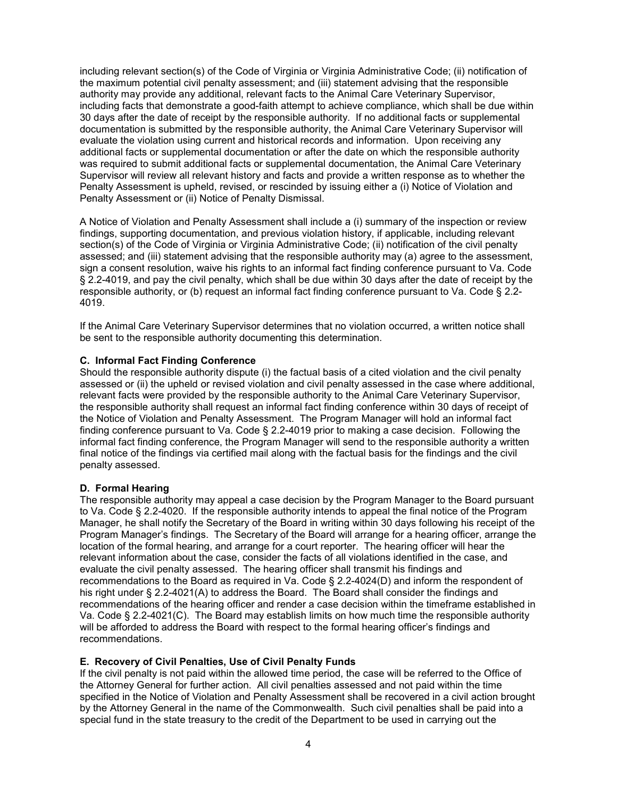including relevant section(s) of the Code of Virginia or Virginia Administrative Code; (ii) notification of the maximum potential civil penalty assessment; and (iii) statement advising that the responsible authority may provide any additional, relevant facts to the Animal Care Veterinary Supervisor, including facts that demonstrate a good-faith attempt to achieve compliance, which shall be due within 30 days after the date of receipt by the responsible authority. If no additional facts or supplemental documentation is submitted by the responsible authority, the Animal Care Veterinary Supervisor will evaluate the violation using current and historical records and information. Upon receiving any additional facts or supplemental documentation or after the date on which the responsible authority was required to submit additional facts or supplemental documentation, the Animal Care Veterinary Supervisor will review all relevant history and facts and provide a written response as to whether the Penalty Assessment is upheld, revised, or rescinded by issuing either a (i) Notice of Violation and Penalty Assessment or (ii) Notice of Penalty Dismissal.

A Notice of Violation and Penalty Assessment shall include a (i) summary of the inspection or review findings, supporting documentation, and previous violation history, if applicable, including relevant section(s) of the Code of Virginia or Virginia Administrative Code; (ii) notification of the civil penalty assessed; and (iii) statement advising that the responsible authority may (a) agree to the assessment, sign a consent resolution, waive his rights to an informal fact finding conference pursuant to Va. Code § 2.2-4019, and pay the civil penalty, which shall be due within 30 days after the date of receipt by the responsible authority, or (b) request an informal fact finding conference pursuant to Va. Code § 2.2- 4019.

If the Animal Care Veterinary Supervisor determines that no violation occurred, a written notice shall be sent to the responsible authority documenting this determination.

# **C. Informal Fact Finding Conference**

Should the responsible authority dispute (i) the factual basis of a cited violation and the civil penalty assessed or (ii) the upheld or revised violation and civil penalty assessed in the case where additional, relevant facts were provided by the responsible authority to the Animal Care Veterinary Supervisor, the responsible authority shall request an informal fact finding conference within 30 days of receipt of the Notice of Violation and Penalty Assessment. The Program Manager will hold an informal fact finding conference pursuant to Va. Code § 2.2-4019 prior to making a case decision. Following the informal fact finding conference, the Program Manager will send to the responsible authority a written final notice of the findings via certified mail along with the factual basis for the findings and the civil penalty assessed.

## **D. Formal Hearing**

The responsible authority may appeal a case decision by the Program Manager to the Board pursuant to Va. Code § 2.2-4020. If the responsible authority intends to appeal the final notice of the Program Manager, he shall notify the Secretary of the Board in writing within 30 days following his receipt of the Program Manager's findings. The Secretary of the Board will arrange for a hearing officer, arrange the location of the formal hearing, and arrange for a court reporter. The hearing officer will hear the relevant information about the case, consider the facts of all violations identified in the case, and evaluate the civil penalty assessed. The hearing officer shall transmit his findings and recommendations to the Board as required in Va. Code § 2.2-4024(D) and inform the respondent of his right under § 2.2-4021(A) to address the Board. The Board shall consider the findings and recommendations of the hearing officer and render a case decision within the timeframe established in Va. Code § 2.2-4021(C). The Board may establish limits on how much time the responsible authority will be afforded to address the Board with respect to the formal hearing officer's findings and recommendations.

## **E. Recovery of Civil Penalties, Use of Civil Penalty Funds**

If the civil penalty is not paid within the allowed time period, the case will be referred to the Office of the Attorney General for further action. All civil penalties assessed and not paid within the time specified in the Notice of Violation and Penalty Assessment shall be recovered in a civil action brought by the Attorney General in the name of the Commonwealth. Such civil penalties shall be paid into a special fund in the state treasury to the credit of the Department to be used in carrying out the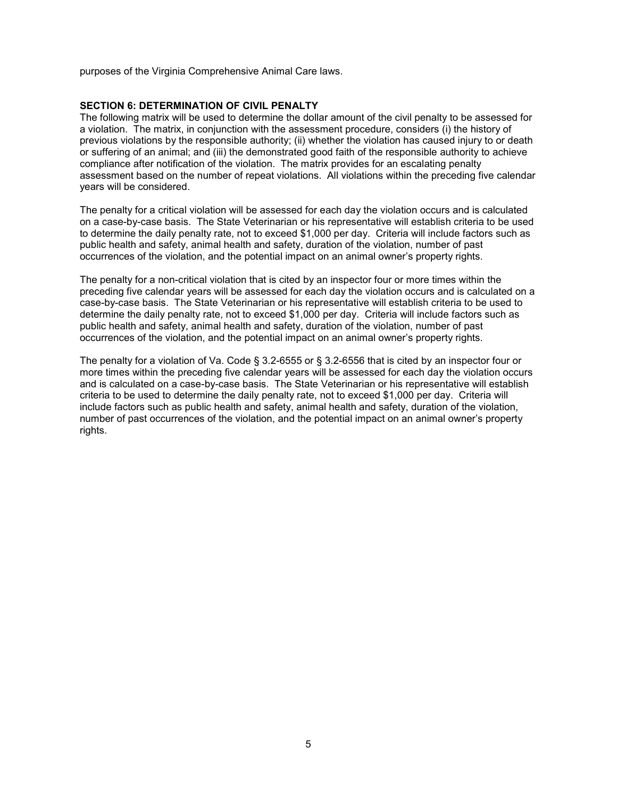purposes of the Virginia Comprehensive Animal Care laws.

## **SECTION 6: DETERMINATION OF CIVIL PENALTY**

The following matrix will be used to determine the dollar amount of the civil penalty to be assessed for a violation. The matrix, in conjunction with the assessment procedure, considers (i) the history of previous violations by the responsible authority; (ii) whether the violation has caused injury to or death or suffering of an animal; and (iii) the demonstrated good faith of the responsible authority to achieve compliance after notification of the violation. The matrix provides for an escalating penalty assessment based on the number of repeat violations. All violations within the preceding five calendar years will be considered.

The penalty for a critical violation will be assessed for each day the violation occurs and is calculated on a case-by-case basis. The State Veterinarian or his representative will establish criteria to be used to determine the daily penalty rate, not to exceed \$1,000 per day. Criteria will include factors such as public health and safety, animal health and safety, duration of the violation, number of past occurrences of the violation, and the potential impact on an animal owner's property rights.

The penalty for a non-critical violation that is cited by an inspector four or more times within the preceding five calendar years will be assessed for each day the violation occurs and is calculated on a case-by-case basis. The State Veterinarian or his representative will establish criteria to be used to determine the daily penalty rate, not to exceed \$1,000 per day. Criteria will include factors such as public health and safety, animal health and safety, duration of the violation, number of past occurrences of the violation, and the potential impact on an animal owner's property rights.

The penalty for a violation of Va. Code § 3.2-6555 or § 3.2-6556 that is cited by an inspector four or more times within the preceding five calendar years will be assessed for each day the violation occurs and is calculated on a case-by-case basis. The State Veterinarian or his representative will establish criteria to be used to determine the daily penalty rate, not to exceed \$1,000 per day. Criteria will include factors such as public health and safety, animal health and safety, duration of the violation, number of past occurrences of the violation, and the potential impact on an animal owner's property rights.